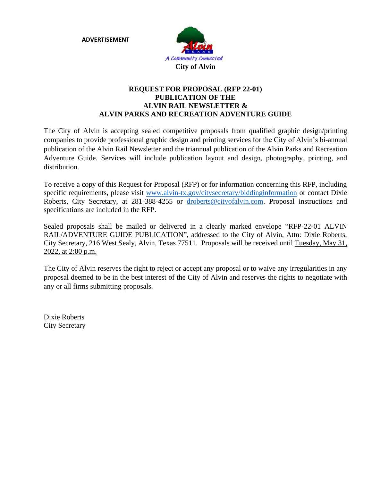**ADVERTISEMENT**



#### **REQUEST FOR PROPOSAL (RFP 22-01) PUBLICATION OF THE ALVIN RAIL NEWSLETTER & ALVIN PARKS AND RECREATION ADVENTURE GUIDE**

The City of Alvin is accepting sealed competitive proposals from qualified graphic design/printing companies to provide professional graphic design and printing services for the City of Alvin's bi-annual publication of the Alvin Rail Newsletter and the triannual publication of the Alvin Parks and Recreation Adventure Guide. Services will include publication layout and design, photography, printing, and distribution.

To receive a copy of this Request for Proposal (RFP) or for information concerning this RFP, including specific requirements, please visit [www.alvin-tx.gov/citysecretary/biddinginformation](http://www.alvin-tx.gov/citysecretary/biddinginformation) or contact Dixie Roberts, City Secretary, at 281-388-4255 or [droberts@cityofalvin.com.](mailto:droberts@cityofalvin.com) Proposal instructions and specifications are included in the RFP.

Sealed proposals shall be mailed or delivered in a clearly marked envelope "RFP-22-01 ALVIN RAIL/ADVENTURE GUIDE PUBLICATION", addressed to the City of Alvin, Attn: Dixie Roberts, City Secretary, 216 West Sealy, Alvin, Texas 77511. Proposals will be received until Tuesday, May 31, 2022, at 2:00 p.m.

The City of Alvin reserves the right to reject or accept any proposal or to waive any irregularities in any proposal deemed to be in the best interest of the City of Alvin and reserves the rights to negotiate with any or all firms submitting proposals.

Dixie Roberts City Secretary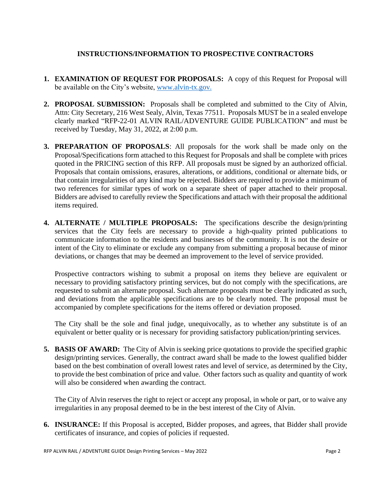## **INSTRUCTIONS/INFORMATION TO PROSPECTIVE CONTRACTORS**

- **1. EXAMINATION OF REQUEST FOR PROPOSALS:** A copy of this Request for Proposal will be available on the City's website, [www.alvin-tx.gov.](http://www.alvin-tx.gov/)
- **2. PROPOSAL SUBMISSION:** Proposals shall be completed and submitted to the City of Alvin, Attn: City Secretary, 216 West Sealy, Alvin, Texas 77511. Proposals MUST be in a sealed envelope clearly marked "RFP-22-01 ALVIN RAIL/ADVENTURE GUIDE PUBLICATION" and must be received by Tuesday, May 31, 2022, at 2:00 p.m.
- **3. PREPARATION OF PROPOSALS**: All proposals for the work shall be made only on the Proposal/Specifications form attached to this Request for Proposals and shall be complete with prices quoted in the PRICING section of this RFP. All proposals must be signed by an authorized official. Proposals that contain omissions, erasures, alterations, or additions, conditional or alternate bids, or that contain irregularities of any kind may be rejected. Bidders are required to provide a minimum of two references for similar types of work on a separate sheet of paper attached to their proposal. Bidders are advised to carefully review the Specifications and attach with their proposal the additional items required.
- **4. ALTERNATE / MULTIPLE PROPOSALS:** The specifications describe the design/printing services that the City feels are necessary to provide a high-quality printed publications to communicate information to the residents and businesses of the community. It is not the desire or intent of the City to eliminate or exclude any company from submitting a proposal because of minor deviations, or changes that may be deemed an improvement to the level of service provided.

Prospective contractors wishing to submit a proposal on items they believe are equivalent or necessary to providing satisfactory printing services, but do not comply with the specifications, are requested to submit an alternate proposal. Such alternate proposals must be clearly indicated as such, and deviations from the applicable specifications are to be clearly noted. The proposal must be accompanied by complete specifications for the items offered or deviation proposed.

The City shall be the sole and final judge, unequivocally, as to whether any substitute is of an equivalent or better quality or is necessary for providing satisfactory publication/printing services.

**5. BASIS OF AWARD:** The City of Alvin is seeking price quotations to provide the specified graphic design/printing services. Generally, the contract award shall be made to the lowest qualified bidder based on the best combination of overall lowest rates and level of service, as determined by the City, to provide the best combination of price and value. Other factors such as quality and quantity of work will also be considered when awarding the contract.

The City of Alvin reserves the right to reject or accept any proposal, in whole or part, or to waive any irregularities in any proposal deemed to be in the best interest of the City of Alvin.

**6. INSURANCE:** If this Proposal is accepted, Bidder proposes, and agrees, that Bidder shall provide certificates of insurance, and copies of policies if requested.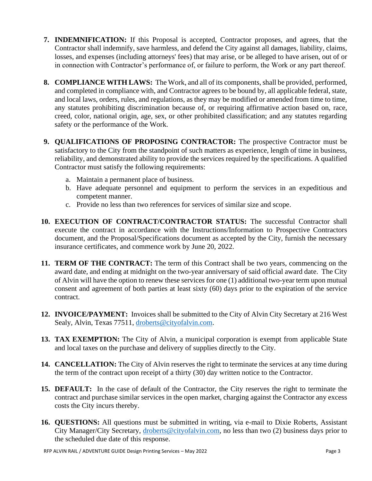- **7. INDEMNIFICATION:** If this Proposal is accepted, Contractor proposes, and agrees, that the Contractor shall indemnify, save harmless, and defend the City against all damages, liability, claims, losses, and expenses (including attorneys' fees) that may arise, or be alleged to have arisen, out of or in connection with Contractor's performance of, or failure to perform, the Work or any part thereof.
- **8. COMPLIANCE WITH LAWS:** The Work, and all of its components, shall be provided, performed, and completed in compliance with, and Contractor agrees to be bound by, all applicable federal, state, and local laws, orders, rules, and regulations, as they may be modified or amended from time to time, any statutes prohibiting discrimination because of, or requiring affirmative action based on, race, creed, color, national origin, age, sex, or other prohibited classification; and any statutes regarding safety or the performance of the Work.
- **9. QUALIFICATIONS OF PROPOSING CONTRACTOR:** The prospective Contractor must be satisfactory to the City from the standpoint of such matters as experience, length of time in business, reliability, and demonstrated ability to provide the services required by the specifications. A qualified Contractor must satisfy the following requirements:
	- a. Maintain a permanent place of business.
	- b. Have adequate personnel and equipment to perform the services in an expeditious and competent manner.
	- c. Provide no less than two references for services of similar size and scope.
- **10. EXECUTION OF CONTRACT/CONTRACTOR STATUS:** The successful Contractor shall execute the contract in accordance with the Instructions/Information to Prospective Contractors document, and the Proposal/Specifications document as accepted by the City, furnish the necessary insurance certificates, and commence work by June 20, 2022.
- **11. TERM OF THE CONTRACT:** The term of this Contract shall be two years, commencing on the award date, and ending at midnight on the two-year anniversary of said official award date. The City of Alvin will have the option to renew these services for one (1) additional two-year term upon mutual consent and agreement of both parties at least sixty (60) days prior to the expiration of the service contract.
- **12. INVOICE/PAYMENT:** Invoices shall be submitted to the City of Alvin City Secretary at 216 West Sealy, Alvin, Texas 77511, [droberts@cityofalvin.com.](mailto:droberts@cityofalvin.com)
- **13. TAX EXEMPTION:** The City of Alvin, a municipal corporation is exempt from applicable State and local taxes on the purchase and delivery of supplies directly to the City.
- **14. CANCELLATION:** The City of Alvin reserves the right to terminate the services at any time during the term of the contract upon receipt of a thirty (30) day written notice to the Contractor.
- **15. DEFAULT:** In the case of default of the Contractor, the City reserves the right to terminate the contract and purchase similar services in the open market, charging against the Contractor any excess costs the City incurs thereby.
- **16. QUESTIONS:** All questions must be submitted in writing, via e-mail to Dixie Roberts, Assistant City Manager/City Secretary, [droberts@cityofalvin.com,](mailto:droberts@cityofalvin.com) no less than two (2) business days prior to the scheduled due date of this response.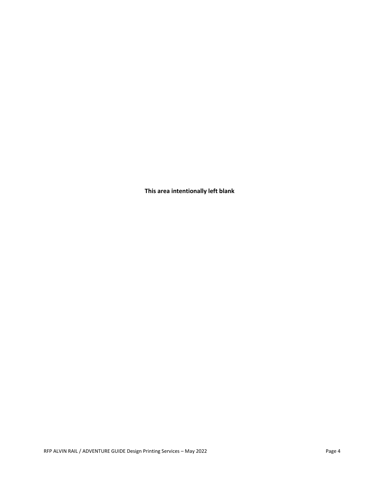**This area intentionally left blank**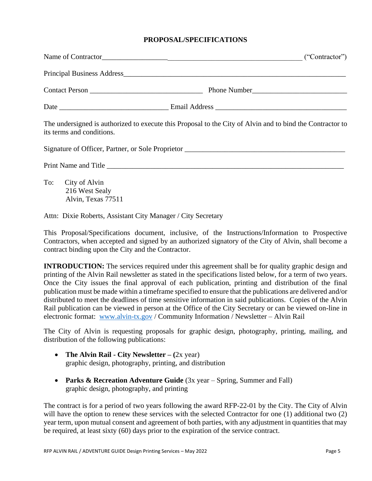#### **PROPOSAL/SPECIFICATIONS**

|                                                              | Name of Contractor<br>("Contractor")                                                                      |
|--------------------------------------------------------------|-----------------------------------------------------------------------------------------------------------|
|                                                              |                                                                                                           |
|                                                              |                                                                                                           |
|                                                              |                                                                                                           |
| its terms and conditions.                                    | The undersigned is authorized to execute this Proposal to the City of Alvin and to bind the Contractor to |
|                                                              |                                                                                                           |
|                                                              |                                                                                                           |
| To: City of Alvin<br>216 West Sealy<br>Alvin, Texas 77511    |                                                                                                           |
| Attn: Dixie Roberts, Assistant City Manager / City Secretary |                                                                                                           |

This Proposal/Specifications document, inclusive, of the Instructions/Information to Prospective Contractors, when accepted and signed by an authorized signatory of the City of Alvin, shall become a contract binding upon the City and the Contractor.

**INTRODUCTION:** The services required under this agreement shall be for quality graphic design and printing of the Alvin Rail newsletter as stated in the specifications listed below, for a term of two years. Once the City issues the final approval of each publication, printing and distribution of the final publication must be made within a timeframe specified to ensure that the publications are delivered and/or distributed to meet the deadlines of time sensitive information in said publications. Copies of the Alvin Rail publication can be viewed in person at the Office of the City Secretary or can be viewed on-line in electronic format: [www.alvin-tx.gov](http://www.alvin-tx.gov/) / Community Information / Newsletter – Alvin Rail

The City of Alvin is requesting proposals for graphic design, photography, printing, mailing, and distribution of the following publications:

- **The Alvin Rail - City Newsletter – (**2x year) graphic design, photography, printing, and distribution
- **Parks & Recreation Adventure Guide** (3x year Spring, Summer and Fall) graphic design, photography, and printing

The contract is for a period of two years following the award RFP-22-01 by the City. The City of Alvin will have the option to renew these services with the selected Contractor for one (1) additional two (2) year term, upon mutual consent and agreement of both parties, with any adjustment in quantities that may be required, at least sixty (60) days prior to the expiration of the service contract.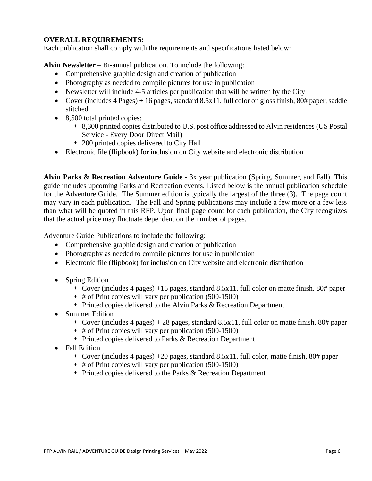### **OVERALL REQUIREMENTS:**

Each publication shall comply with the requirements and specifications listed below:

**Alvin Newsletter** – Bi-annual publication. To include the following:

- Comprehensive graphic design and creation of publication
- Photography as needed to compile pictures for use in publication
- Newsletter will include 4-5 articles per publication that will be written by the City
- Cover (includes  $4$  Pages) + 16 pages, standard  $8.5x11$ , full color on gloss finish,  $80\#$  paper, saddle stitched
- 8,500 total printed copies:
	- ⬧ 8,300 printed copies distributed to U.S. post office addressed to Alvin residences (US Postal Service - Every Door Direct Mail)
	- ⬧ 200 printed copies delivered to City Hall
- Electronic file (flipbook) for inclusion on City website and electronic distribution

**Alvin Parks & Recreation Adventure Guide** - 3x year publication (Spring, Summer, and Fall). This guide includes upcoming Parks and Recreation events. Listed below is the annual publication schedule for the Adventure Guide. The Summer edition is typically the largest of the three (3). The page count may vary in each publication. The Fall and Spring publications may include a few more or a few less than what will be quoted in this RFP. Upon final page count for each publication, the City recognizes that the actual price may fluctuate dependent on the number of pages.

Adventure Guide Publications to include the following:

- Comprehensive graphic design and creation of publication
- Photography as needed to compile pictures for use in publication
- Electronic file (flipbook) for inclusion on City website and electronic distribution
- Spring Edition
	- ⬧ Cover (includes 4 pages) +16 pages, standard 8.5x11, full color on matte finish, 80# paper
	- ⬧ # of Print copies will vary per publication (500-1500)
	- ⬧ Printed copies delivered to the Alvin Parks & Recreation Department
- Summer Edition
	- Cover (includes 4 pages) + 28 pages, standard 8.5x11, full color on matte finish, 80# paper
	- ⬧ # of Print copies will vary per publication (500-1500)
	- ⬧ Printed copies delivered to Parks & Recreation Department
- Fall Edition
	- $\bullet$  Cover (includes 4 pages) +20 pages, standard 8.5x11, full color, matte finish, 80# paper
	- ⬧ # of Print copies will vary per publication (500-1500)
	- ⬧ Printed copies delivered to the Parks & Recreation Department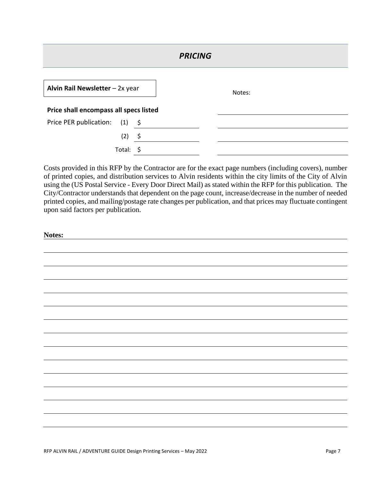| <b>PRICING</b>                         |      |        |  |  |  |  |
|----------------------------------------|------|--------|--|--|--|--|
| Alvin Rail Newsletter - 2x year        |      | Notes: |  |  |  |  |
| Price shall encompass all specs listed |      |        |  |  |  |  |
| Price PER publication:<br>(1)          | - \$ |        |  |  |  |  |
| (2)                                    | \$   |        |  |  |  |  |
| Total:                                 | -S   |        |  |  |  |  |

Costs provided in this RFP by the Contractor are for the exact page numbers (including covers), number of printed copies, and distribution services to Alvin residents within the city limits of the City of Alvin using the (US Postal Service - Every Door Direct Mail) as stated within the RFP for this publication. The City/Contractor understands that dependent on the page count, increase/decrease in the number of needed printed copies, and mailing/postage rate changes per publication, and that prices may fluctuate contingent upon said factors per publication.

| Notes: |  |
|--------|--|
|        |  |
|        |  |
|        |  |
|        |  |
|        |  |
|        |  |
|        |  |
|        |  |
|        |  |
|        |  |
|        |  |
|        |  |
|        |  |
|        |  |
|        |  |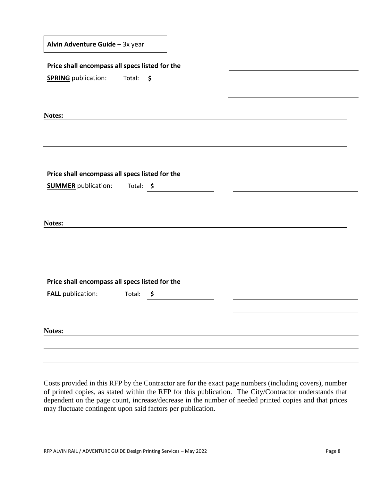| Alvin Adventure Guide - 3x year |  |  |
|---------------------------------|--|--|
|---------------------------------|--|--|

| Price shall encompass all specs listed for the |               |  |
|------------------------------------------------|---------------|--|
| <b>SPRING</b> publication:                     | Total: \$     |  |
|                                                |               |  |
|                                                |               |  |
| Notes:                                         |               |  |
|                                                |               |  |
|                                                |               |  |
|                                                |               |  |
| Price shall encompass all specs listed for the |               |  |
| <b>SUMMER</b> publication: Total: \$           |               |  |
|                                                |               |  |
| Notes:                                         |               |  |
|                                                |               |  |
|                                                |               |  |
|                                                |               |  |
| Price shall encompass all specs listed for the |               |  |
| <b>FALL</b> publication:                       | Total: $\int$ |  |
|                                                |               |  |
| Notes:                                         |               |  |
|                                                |               |  |

Costs provided in this RFP by the Contractor are for the exact page numbers (including covers), number of printed copies, as stated within the RFP for this publication. The City/Contractor understands that dependent on the page count, increase/decrease in the number of needed printed copies and that prices may fluctuate contingent upon said factors per publication.